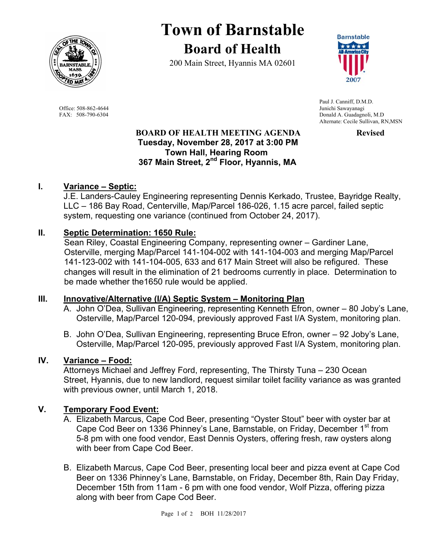

# **Town of Barnstable Board of Health**

200 Main Street, Hyannis MA 02601



 Paul J. Canniff, D.M.D. Office: 508-862-4644 Junichi Sawayanagi FAX: 508-790-6304 Donald A. Guadagnoli, M.D Alternate: Cecile Sullivan, RN,MSN

#### **BOARD OF HEALTH MEETING AGENDA FOR PROPERTY Tuesday, November 28, 2017 at 3:00 PM Town Hall, Hearing Room 367 Main Street, 2nd Floor, Hyannis, MA**

#### **I. Variance – Septic:**

J.E. Landers-Cauley Engineering representing Dennis Kerkado, Trustee, Bayridge Realty, LLC – 186 Bay Road, Centerville, Map/Parcel 186-026, 1.15 acre parcel, failed septic system, requesting one variance (continued from October 24, 2017).

#### **II. Septic Determination: 1650 Rule:**

Sean Riley, Coastal Engineering Company, representing owner – Gardiner Lane, Osterville, merging Map/Parcel 141-104-002 with 141-104-003 and merging Map/Parcel 141-123-002 with 141-104-005, 633 and 617 Main Street will also be refigured. These changes will result in the elimination of 21 bedrooms currently in place. Determination to be made whether the1650 rule would be applied.

#### **III. Innovative/Alternative (I/A) Septic System – Monitoring Plan**

- A. John O'Dea, Sullivan Engineering, representing Kenneth Efron, owner 80 Joby's Lane, Osterville, Map/Parcel 120-094, previously approved Fast I/A System, monitoring plan.
- B. John O'Dea, Sullivan Engineering, representing Bruce Efron, owner 92 Joby's Lane, Osterville, Map/Parcel 120-095, previously approved Fast I/A System, monitoring plan.

#### **IV. Variance – Food:**

Attorneys Michael and Jeffrey Ford, representing, The Thirsty Tuna – 230 Ocean Street, Hyannis, due to new landlord, request similar toilet facility variance as was granted with previous owner, until March 1, 2018.

#### **V. Temporary Food Event:**

- A. Elizabeth Marcus, Cape Cod Beer, presenting "Oyster Stout" beer with oyster bar at Cape Cod Beer on 1336 Phinney's Lane, Barnstable, on Friday, December 1<sup>st</sup> from 5-8 pm with one food vendor, East Dennis Oysters, offering fresh, raw oysters along with beer from Cape Cod Beer.
- B. Elizabeth Marcus, Cape Cod Beer, presenting local beer and pizza event at Cape Cod Beer on 1336 Phinney's Lane, Barnstable, on Friday, December 8th, Rain Day Friday, December 15th from 11am - 6 pm with one food vendor, Wolf Pizza, offering pizza along with beer from Cape Cod Beer.